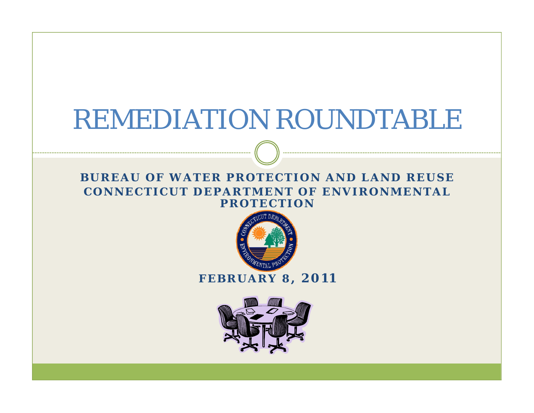# REMEDIATION ROUNDTABLE

#### **BUREAU OF WATER PROTECTION AND LAND REUSECONNECTICUT DEPARTMENT OF ENVIRONMENTAL PROTECTION**



#### **FEBRUARY 8, 2011**

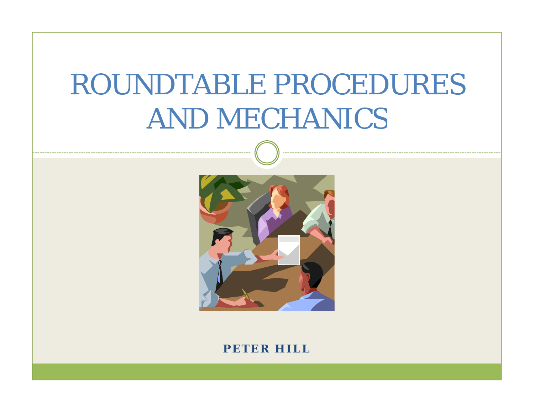# ROUNDTABLE PROCEDURES AND MECHANICS



**PETER HILL**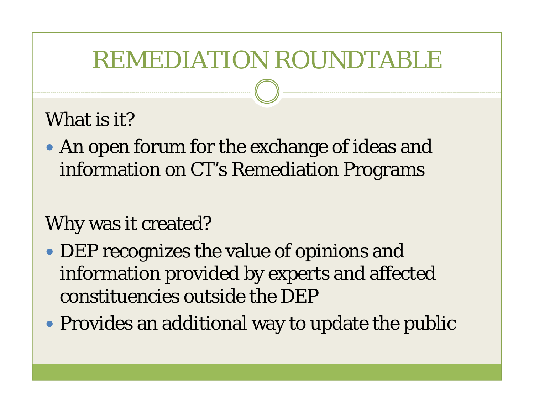## REMEDIATION ROUNDTABLE

#### What is it?

• An open forum for the exchange of ideas and information on CT's Remediation Programs

#### Why was it created?

- DEP recognizes the value of opinions and information provided by experts and affected constituencies outside the DEP
- Provides an additional way to update the public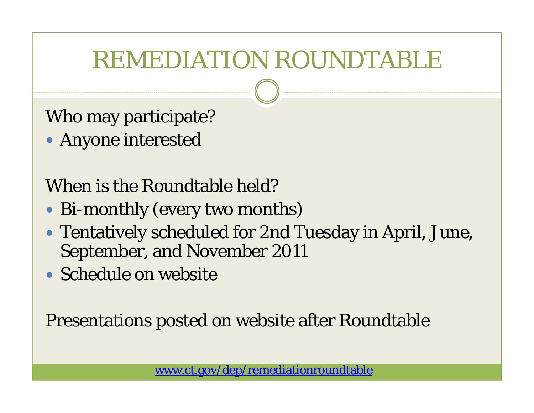# REMEDIATION ROUNDTABLE

Who may participate?

• Anyone interested

### When is the Roundtable held?

- Bi-monthly (every two months)
- Tentatively scheduled for 2nd Tuesday in April, June, September, and November 2011
- Schedule on website

Presentations posted on website after Roundtable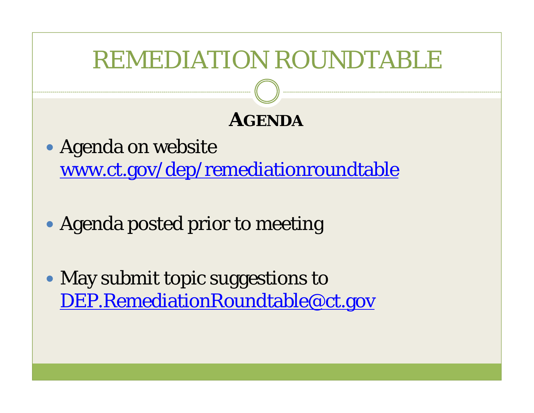# REMEDIATION ROUNDTABLE **AGENDA** • Agenda on website www.ct.gov/dep/remediationroundtable

- Agenda posted prior to meeting
- May submit topic suggestions to DEP.RemediationRoundtable@ct.gov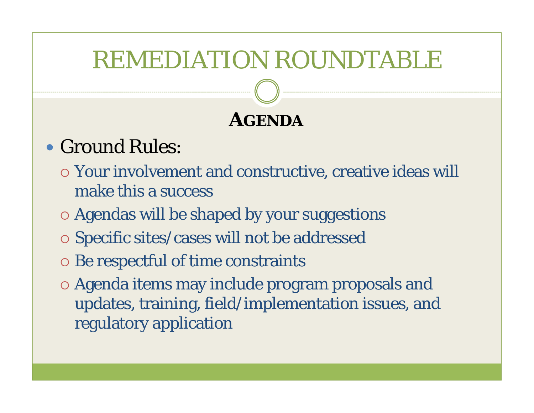## REMEDIATION ROUNDTABLE

### **AGENDA**

### • Ground Rules:

- $\circ$  Your involvement and constructive, creative ideas will make this a success
- $\circ$  Agendas will be shaped by your suggestions
- $\circ$  Specific sites/cases will not be addressed
- { Be respectful of time constraints
- $\circ$  Agenda items may include program proposals and updates, training, field/implementation issues, and regulatory application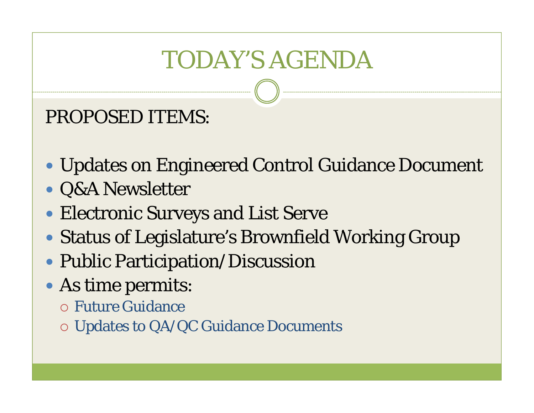# **TODAY'S AGENDA**

#### **PROPOSED ITEMS:**

- Updates on Engineered Control Guidance Document
- Q&A Newsletter
- Electronic Surveys and List Serve
- Status of Legislature's Brownfield Working Group
- Public Participation/Discussion
- As time permits:
	- **o Future Guidance**
	- **O Updates to QA/QC Guidance Documents**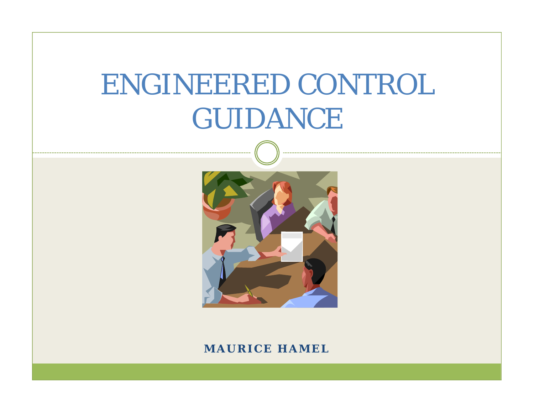# ENGINEERED CONTROL GUIDANCE



#### **MAURICE HAMEL**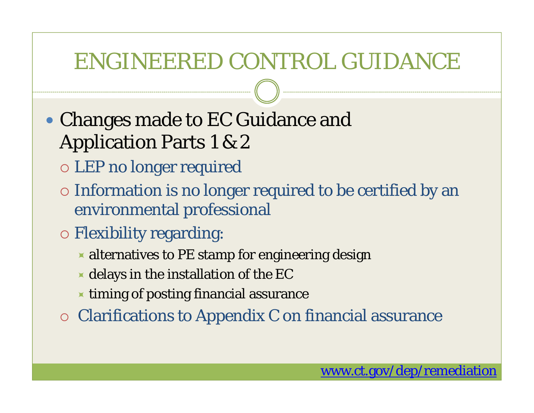### ENGINEERED CONTROL GUIDANCE

- Changes made to EC Guidance and **Application Parts 1 & 2** 
	- o LEP no longer required
	- o Information is no longer required to be certified by an environmental professional
	- **O** Flexibility regarding:
		- alternatives to PE stamp for engineering design
		- $\star$  delays in the installation of the EC
		- $\blacktriangleright$  timing of posting financial assurance
	- **O Clarifications to Appendix C on financial assurance**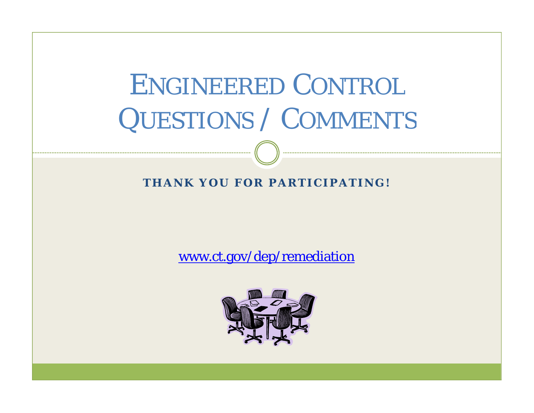# ENGINEERED CONTROL QUESTIONS / COMMENTS

#### **THANK YOU FOR PARTICIPATING!**

www.ct.gov/dep/remediation

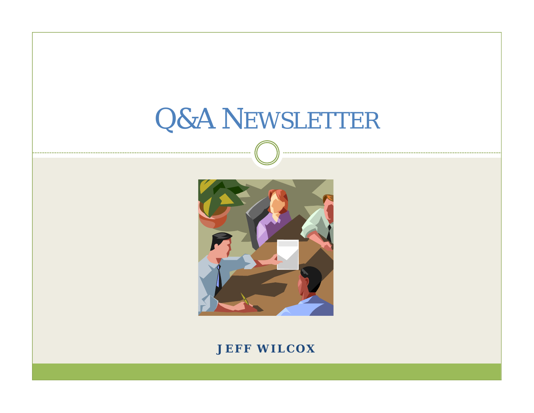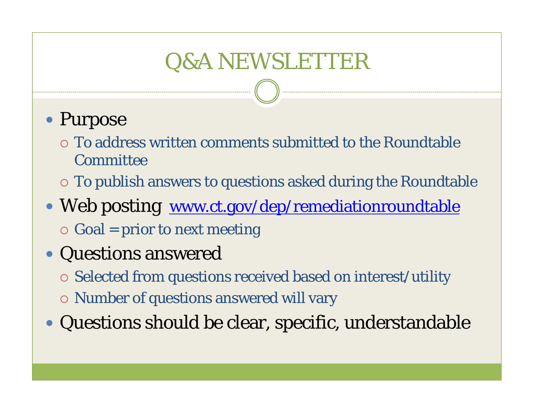## Q&A NEWSLETTER

- Purpose
	- $\circ$  To address written comments submitted to the Roundtable **Committee**
	- $\circ$  To publish answers to questions asked during the Roundtable
- Web posting www.ct.gov/dep/remediationroundtable  $\circ$  Goal = prior to next meeting
- Questions answered
	- $\circ$  Selected from questions received based on interest/utility
	- $\circ$  Number of questions answered will vary
- Questions should be clear, specific, understandable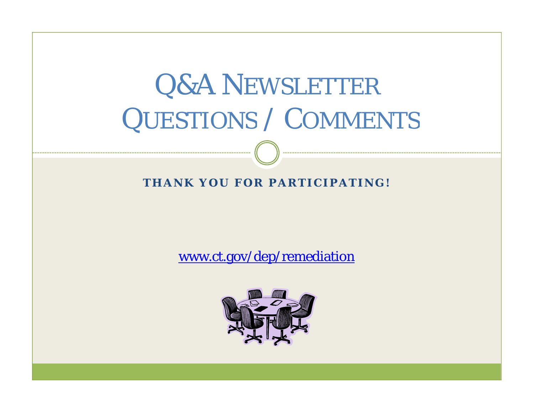# Q&A NEWSLETTER QUESTIONS / COMMENTS

#### **THANK YOU FOR PARTICIPATING!**

www.ct.gov/dep/remediation

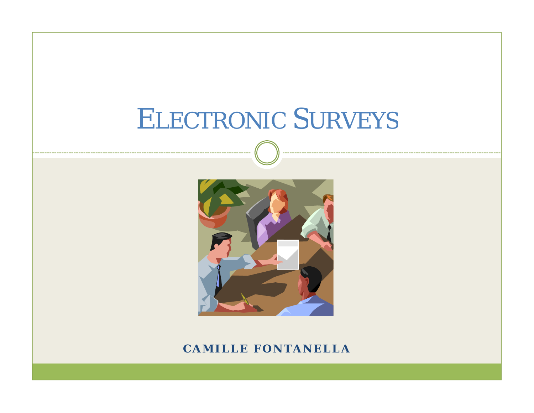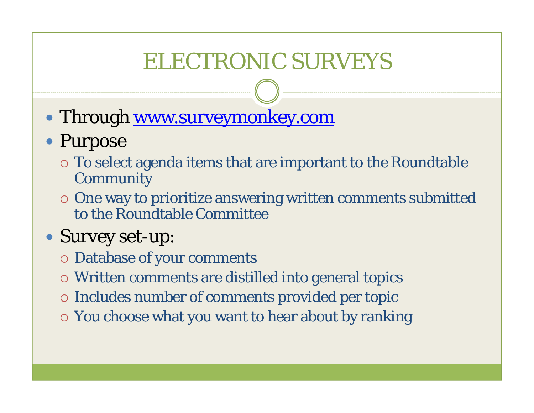## ELECTRONIC SURVEYS

• Through <u>www.surveymonkey.com</u>

#### • Purpose

- $\circ$  To select agenda items that are important to the Roundtable **Community**
- $\circ$  One way to prioritize answering written comments submitted to the Roundtable Committee

#### • Survey set-up:

- { Database of your comments
- $\circ$  Written comments are distilled into general topics
- $\circ$  Includes number of comments provided per topic
- $\circ$  You choose what you want to hear about by ranking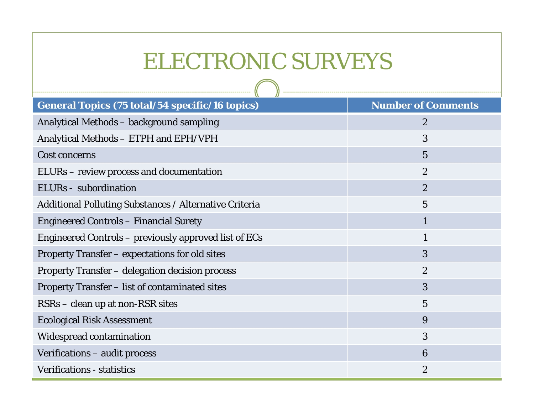## ELECTRONIC SURVEYS

| <b>General Topics (75 total/54 specific/16 topics)</b>        | <b>Number of Comments</b> |
|---------------------------------------------------------------|---------------------------|
| Analytical Methods – background sampling                      | $\boldsymbol{2}$          |
| Analytical Methods - ETPH and EPH/VPH                         | 3                         |
| <b>Cost concerns</b>                                          | $\overline{5}$            |
| ELURs – review process and documentation                      | $\overline{2}$            |
| ELURs - subordination                                         | $\overline{2}$            |
| <b>Additional Polluting Substances / Alternative Criteria</b> | $\overline{5}$            |
| <b>Engineered Controls - Financial Surety</b>                 | 1                         |
| Engineered Controls – previously approved list of ECs         | $\mathbf{1}$              |
| <b>Property Transfer – expectations for old sites</b>         | 3                         |
| Property Transfer - delegation decision process               | $\boldsymbol{2}$          |
| Property Transfer - list of contaminated sites                | 3                         |
| RSRs – clean up at non-RSR sites                              | $\overline{5}$            |
| <b>Ecological Risk Assessment</b>                             | 9                         |
| <b>Widespread contamination</b>                               | 3                         |
| Verifications - audit process                                 | 6                         |
| <b>Verifications - statistics</b>                             | $\boldsymbol{2}$          |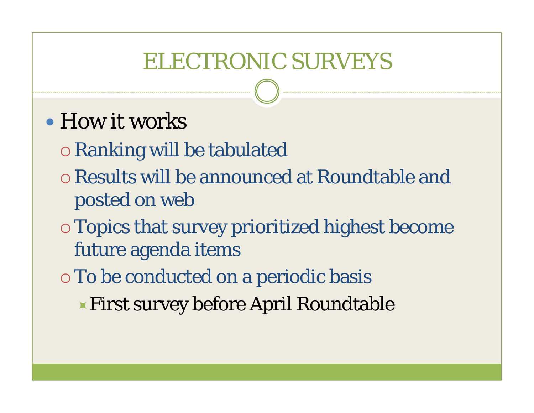## **ELECTRONIC SURVEYS**

- How it works
	- **O Ranking will be tabulated**
	- o Results will be announced at Roundtable and posted on web
	- **Topics that survey prioritized highest become** future agenda items
	- o To be conducted on a periodic basis
		- **Eirst survey before April Roundtable**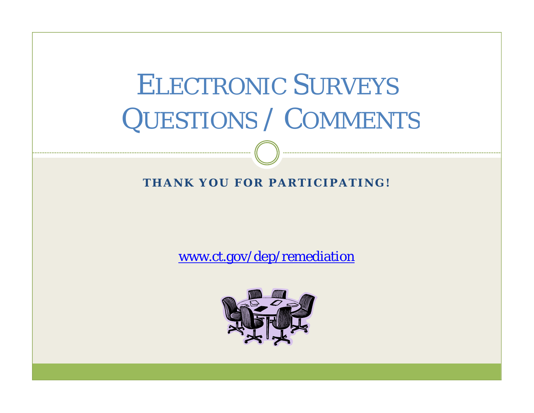# ELECTRONIC SURVEYS QUESTIONS / COMMENTS

#### **THANK YOU FOR PARTICIPATING!**

www.ct.gov/dep/remediation

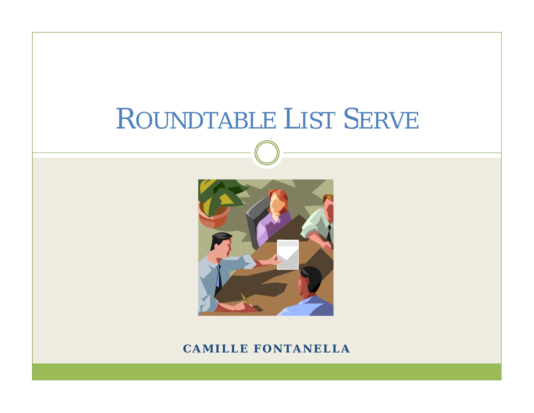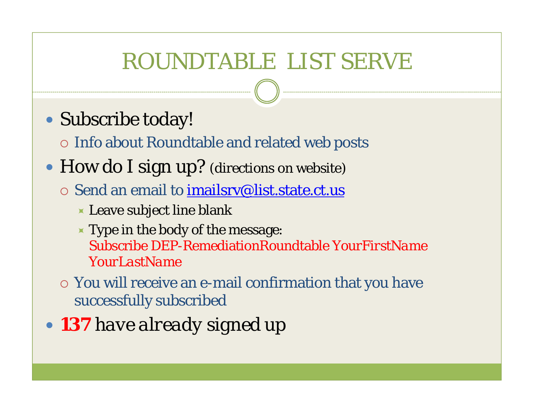## ROUNDTABLE LIST SERVE

• Subscribe today!

 $\circ$  Info about Roundtable and related web posts

- How do I sign up? (directions on website)
	- $\circ$  Send an email to imailsry@list.state.ct.us
		- $\blacktriangleright$  Leave subject line blank
		- $\blacktriangleright$  Type in the body of the message: Subscribe DEP-RemediationRoundtable *YourFirstName YourLastName*
	- $\circ$  You will receive an e-mail confirmation that you have successfully subscribed
- 137 have already signed up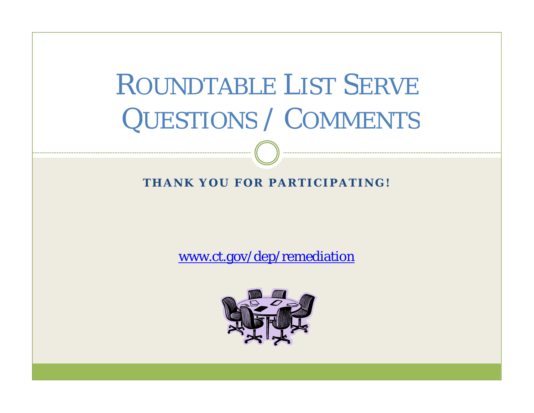# ROUNDTABLE LIST SERVE QUESTIONS / COMMENTS

#### **THANK YOU FOR PARTICIPATING!**

www.ct.gov/dep/remediation

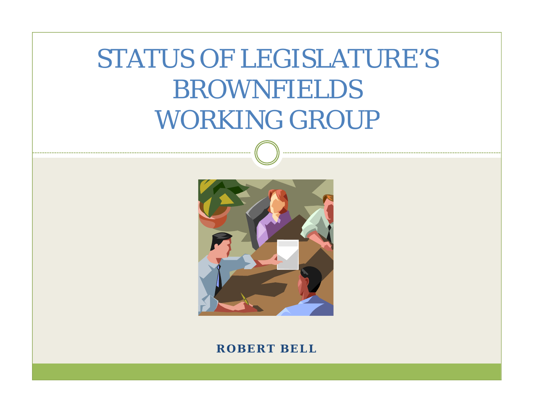# STATUS OF LEGISLATURE'S BROWNFIELDSWORKING GROUP



#### **ROBERT BELL**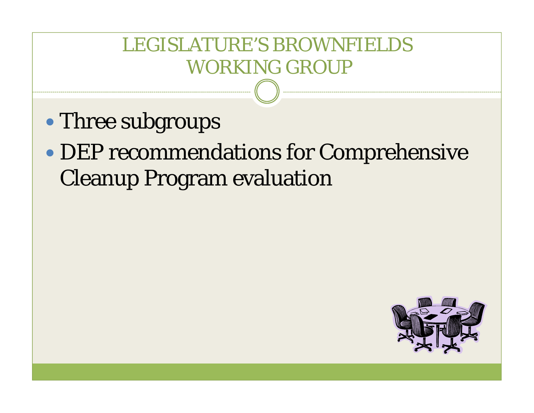### LEGISLATURE'S BROWNFIELDSWORKING GROUP

- $\bullet$ Three subgroups
- $\bullet$  DEP recommendations for Comprehensive Cleanup Program evaluation

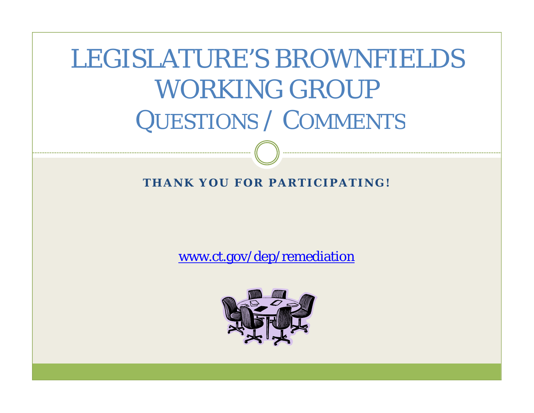LEGISLATURE'S BROWNFIELDSWORKING GROUP QUESTIONS / COMMENTS

**THANK YOU FOR PARTICIPATING!**

www.ct.gov/dep/remediation

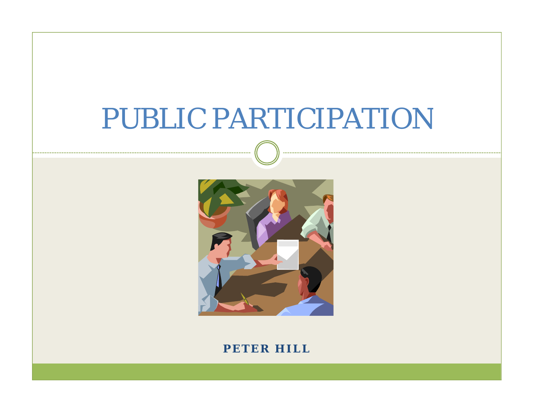# PUBLIC PARTICIPATION



**PETER HILL**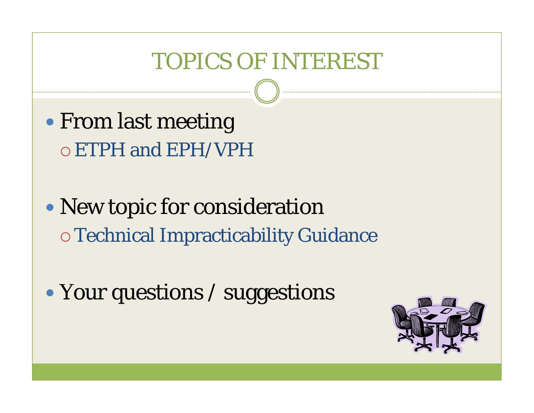## **TOPICS OF INTEREST**

- From last meeting o ETPH and EPH/VPH
- New topic for consideration **O Technical Impracticability Guidance**
- Your questions / suggestions

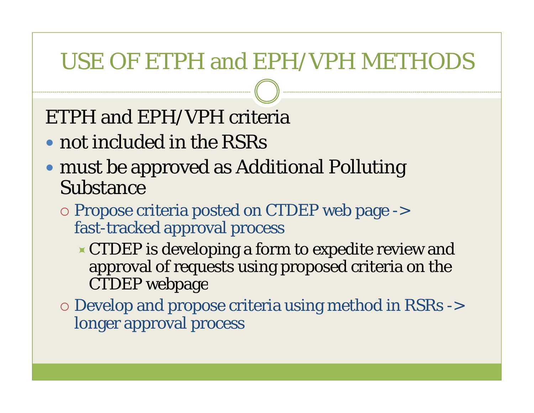### USE OF ETPH and EPH/VPH METHODS

### ETPH and EPH/VPH criteria

- not included in the RSRs
- must be approved as Additional Polluting Substance
	- { Propose criteria posted on CTDEP web page -> fast -tracked approval process
		- $\triangle$  CTDEP is developing a form to expedite review and approval of requests using proposed criteria on the CTDEP webpage
	- $\circ$  Develop and propose criteria using method in RSRs -> longer approval process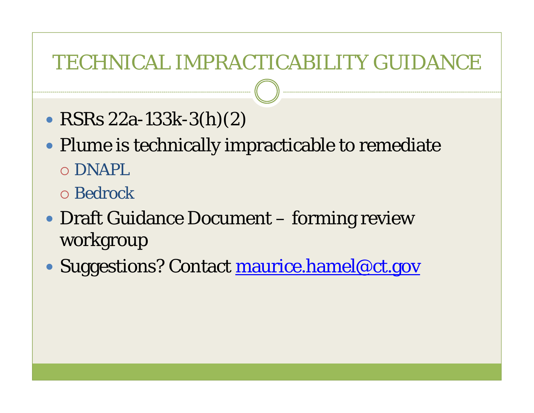### **TECHNICAL IMPRACTICABILITY GUIDANCE**

- RSRs  $22a-133k-3(h)(2)$
- Plume is technically impracticable to remediate o DNAPL
	- **O** Bedrock
- Draft Guidance Document forming review workgroup
- Suggestions? Contact maurice.hamel@ct.gov